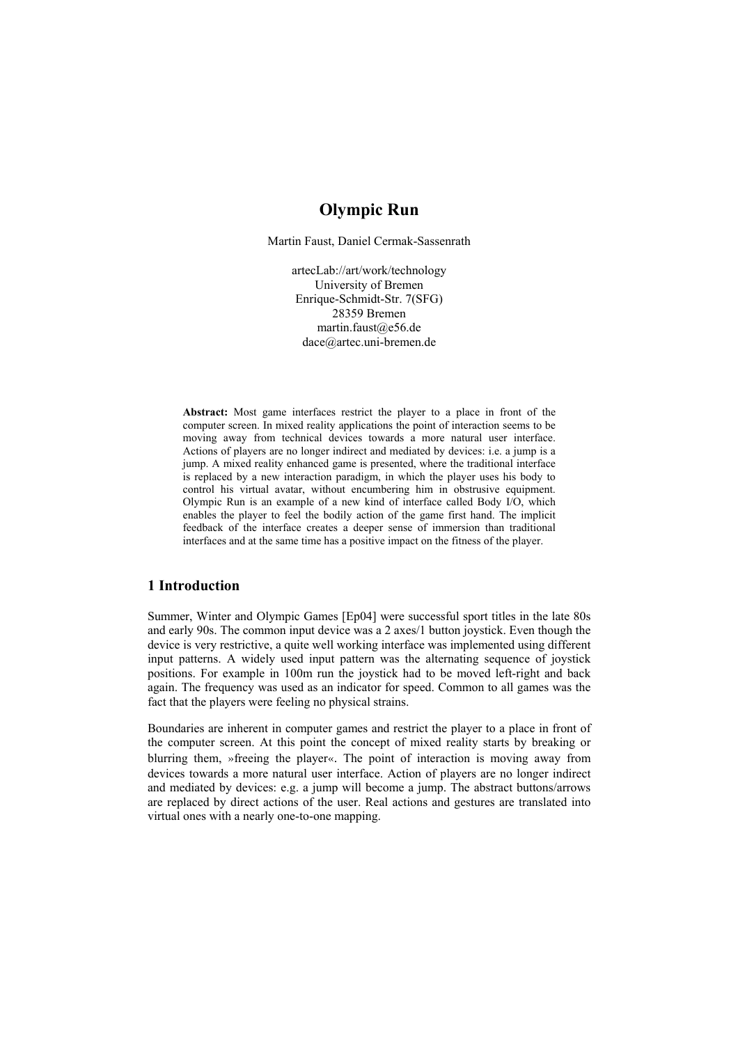## **Olympic Run**

Martin Faust, Daniel Cermak-Sassenrath

artecLab://art/work/technology University of Bremen Enrique-Schmidt-Str. 7(SFG) 28359 Bremen martin.faust@e56.de dace@artec.uni-bremen.de

**Abstract:** Most game interfaces restrict the player to a place in front of the computer screen. In mixed reality applications the point of interaction seems to be moving away from technical devices towards a more natural user interface. Actions of players are no longer indirect and mediated by devices: i.e. a jump is a jump. A mixed reality enhanced game is presented, where the traditional interface is replaced by a new interaction paradigm, in which the player uses his body to control his virtual avatar, without encumbering him in obstrusive equipment. Olympic Run is an example of a new kind of interface called Body I/O, which enables the player to feel the bodily action of the game first hand. The implicit feedback of the interface creates a deeper sense of immersion than traditional interfaces and at the same time has a positive impact on the fitness of the player.

## **1 Introduction**

Summer, Winter and Olympic Games [Ep04] were successful sport titles in the late 80s and early 90s. The common input device was a 2 axes/1 button joystick. Even though the device is very restrictive, a quite well working interface was implemented using different input patterns. A widely used input pattern was the alternating sequence of joystick positions. For example in 100m run the joystick had to be moved left-right and back again. The frequency was used as an indicator for speed. Common to all games was the fact that the players were feeling no physical strains.

Boundaries are inherent in computer games and restrict the player to a place in front of the computer screen. At this point the concept of mixed reality starts by breaking or blurring them, »freeing the player«. The point of interaction is moving away from devices towards a more natural user interface. Action of players are no longer indirect and mediated by devices: e.g. a jump will become a jump. The abstract buttons/arrows are replaced by direct actions of the user. Real actions and gestures are translated into virtual ones with a nearly one-to-one mapping.